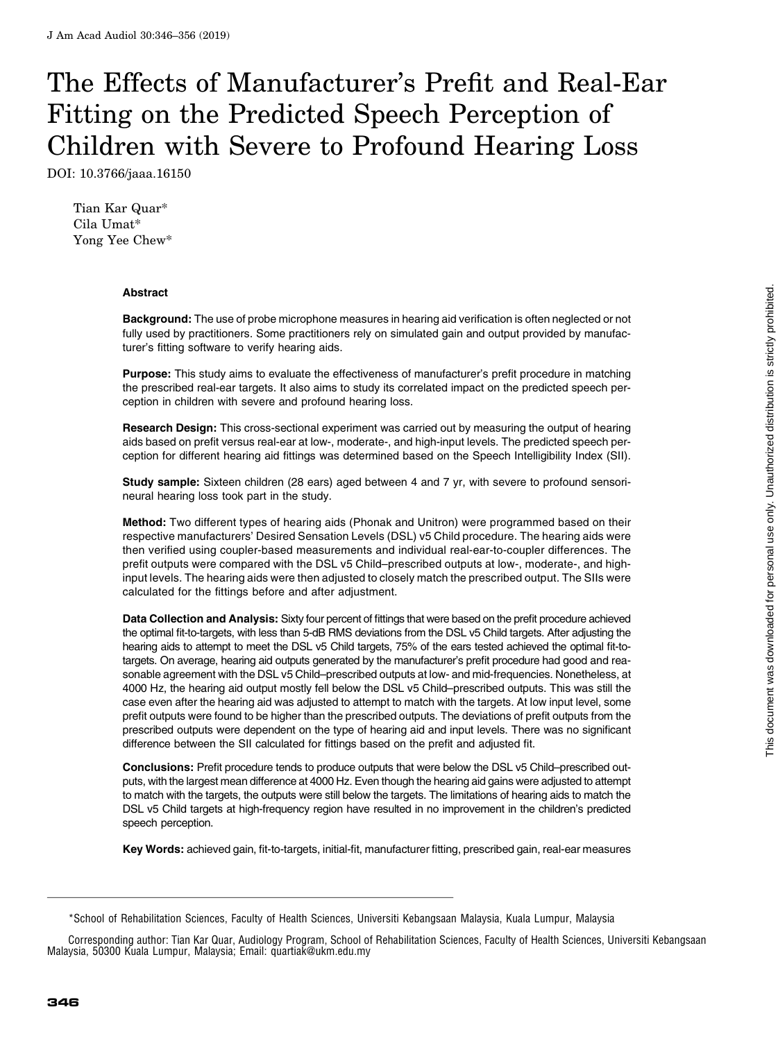# The Effects of Manufacturer's Prefit and Real-Ear Fitting on the Predicted Speech Perception of Children with Severe to Profound Hearing Loss

DOI: 10.3766/jaaa.16150

Tian Kar Quar\* Cila Umat\* Yong Yee Chew\*

## **Abstract**

Background: The use of probe microphone measures in hearing aid verification is often neglected or not fully used by practitioners. Some practitioners rely on simulated gain and output provided by manufacturer's fitting software to verify hearing aids.

Purpose: This study aims to evaluate the effectiveness of manufacturer's prefit procedure in matching the prescribed real-ear targets. It also aims to study its correlated impact on the predicted speech perception in children with severe and profound hearing loss.

Research Design: This cross-sectional experiment was carried out by measuring the output of hearing aids based on prefit versus real-ear at low-, moderate-, and high-input levels. The predicted speech perception for different hearing aid fittings was determined based on the Speech Intelligibility Index (SII).

Study sample: Sixteen children (28 ears) aged between 4 and 7 yr, with severe to profound sensorineural hearing loss took part in the study.

Method: Two different types of hearing aids (Phonak and Unitron) were programmed based on their respective manufacturers' Desired Sensation Levels (DSL) v5 Child procedure. The hearing aids were then verified using coupler-based measurements and individual real-ear-to-coupler differences. The prefit outputs were compared with the DSL v5 Child–prescribed outputs at low-, moderate-, and highinput levels. The hearing aids were then adjusted to closely match the prescribed output. The SIIs were calculated for the fittings before and after adjustment.

Data Collection and Analysis: Sixty four percent of fittings that were based on the prefit procedure achieved the optimal fit-to-targets, with less than 5-dB RMS deviations from the DSL v5 Child targets. After adjusting the hearing aids to attempt to meet the DSL v5 Child targets, 75% of the ears tested achieved the optimal fit-totargets. On average, hearing aid outputs generated by the manufacturer's prefit procedure had good and reasonable agreement with the DSL v5 Child–prescribed outputs at low- and mid-frequencies. Nonetheless, at 4000 Hz, the hearing aid output mostly fell below the DSL v5 Child–prescribed outputs. This was still the case even after the hearing aid was adjusted to attempt to match with the targets. At low input level, some prefit outputs were found to be higher than the prescribed outputs. The deviations of prefit outputs from the prescribed outputs were dependent on the type of hearing aid and input levels. There was no significant difference between the SII calculated for fittings based on the prefit and adjusted fit.

Conclusions: Prefit procedure tends to produce outputs that were below the DSL v5 Child–prescribed outputs, with the largest mean difference at 4000 Hz. Even though the hearing aid gains were adjusted to attempt to match with the targets, the outputs were still below the targets. The limitations of hearing aids to match the DSL v5 Child targets at high-frequency region have resulted in no improvement in the children's predicted speech perception.

Key Words: achieved gain, fit-to-targets, initial-fit, manufacturer fitting, prescribed gain, real-ear measures

<sup>\*</sup>School of Rehabilitation Sciences, Faculty of Health Sciences, Universiti Kebangsaan Malaysia, Kuala Lumpur, Malaysia

Corresponding author: Tian Kar Quar, Audiology Program, School of Rehabilitation Sciences, Faculty of Health Sciences, Universiti Kebangsaan Malaysia, 50300 Kuala Lumpur, Malaysia; Email: [quartiak@ukm.edu.my](mailto:quartiak@ukm.edu.my)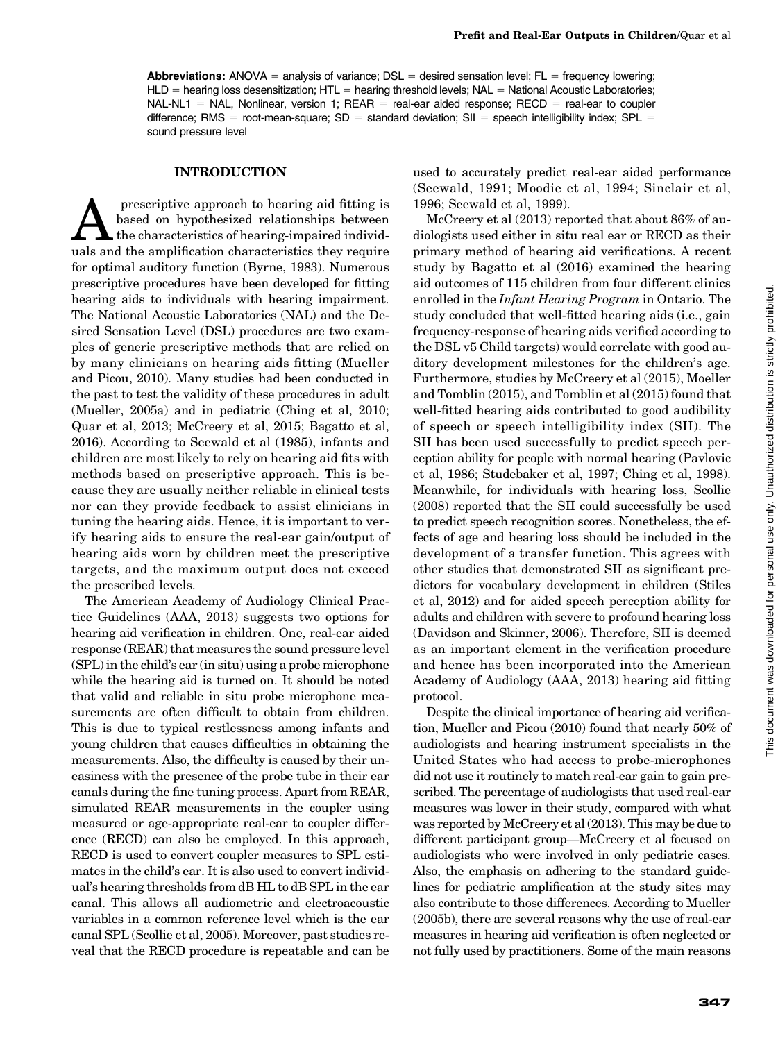**Abbreviations:** ANOVA = analysis of variance; DSL = desired sensation level; FL = frequency lowering;  $HLD$  = hearing loss desensitization; HTL = hearing threshold levels; NAL = National Acoustic Laboratories;  $NAL-NL1 = NAL$ , Nonlinear, version 1; REAR = real-ear aided response; RECD = real-ear to coupler difference; RMS = root-mean-square;  $SD =$  standard deviation; SII = speech intelligibility index; SPL = sound pressure level

## INTRODUCTION

**A** prescriptive approach to hearing aid fitting is<br>the characteristics of hearing-impaired individuals and the amplification characteristics they require based on hypothesized relationships between the characteristics of hearing-impaired individuals and the amplification characteristics they require for optimal auditory function (Byrne, 1983). Numerous prescriptive procedures have been developed for fitting hearing aids to individuals with hearing impairment. The National Acoustic Laboratories (NAL) and the Desired Sensation Level (DSL) procedures are two examples of generic prescriptive methods that are relied on by many clinicians on hearing aids fitting (Mueller and Picou, 2010). Many studies had been conducted in the past to test the validity of these procedures in adult (Mueller, 2005a) and in pediatric (Ching et al, 2010; Quar et al, 2013; McCreery et al, 2015; Bagatto et al, 2016). According to Seewald et al (1985), infants and children are most likely to rely on hearing aid fits with methods based on prescriptive approach. This is because they are usually neither reliable in clinical tests nor can they provide feedback to assist clinicians in tuning the hearing aids. Hence, it is important to verify hearing aids to ensure the real-ear gain/output of hearing aids worn by children meet the prescriptive targets, and the maximum output does not exceed the prescribed levels.

The American Academy of Audiology Clinical Practice Guidelines (AAA, 2013) suggests two options for hearing aid verification in children. One, real-ear aided response (REAR) that measures the sound pressure level (SPL) in the child's ear (in situ) using a probe microphone while the hearing aid is turned on. It should be noted that valid and reliable in situ probe microphone measurements are often difficult to obtain from children. This is due to typical restlessness among infants and young children that causes difficulties in obtaining the measurements. Also, the difficulty is caused by their uneasiness with the presence of the probe tube in their ear canals during the fine tuning process. Apart from REAR, simulated REAR measurements in the coupler using measured or age-appropriate real-ear to coupler difference (RECD) can also be employed. In this approach, RECD is used to convert coupler measures to SPL estimates in the child's ear. It is also used to convert individual's hearing thresholds from dB HL to dB SPL in the ear canal. This allows all audiometric and electroacoustic variables in a common reference level which is the ear canal SPL (Scollie et al, 2005). Moreover, past studies reveal that the RECD procedure is repeatable and can be

used to accurately predict real-ear aided performance (Seewald, 1991; Moodie et al, 1994; Sinclair et al, 1996; Seewald et al, 1999).

McCreery et al (2013) reported that about 86% of audiologists used either in situ real ear or RECD as their primary method of hearing aid verifications. A recent study by Bagatto et al (2016) examined the hearing aid outcomes of 115 children from four different clinics enrolled in the Infant Hearing Program in Ontario. The study concluded that well-fitted hearing aids (i.e., gain frequency-response of hearing aids verified according to the DSL v5 Child targets) would correlate with good auditory development milestones for the children's age. Furthermore, studies by McCreery et al (2015), Moeller and Tomblin (2015), and Tomblin et al (2015) found that well-fitted hearing aids contributed to good audibility of speech or speech intelligibility index (SII). The SII has been used successfully to predict speech perception ability for people with normal hearing (Pavlovic et al, 1986; Studebaker et al, 1997; Ching et al, 1998). Meanwhile, for individuals with hearing loss, Scollie (2008) reported that the SII could successfully be used to predict speech recognition scores. Nonetheless, the effects of age and hearing loss should be included in the development of a transfer function. This agrees with other studies that demonstrated SII as significant predictors for vocabulary development in children (Stiles et al, 2012) and for aided speech perception ability for adults and children with severe to profound hearing loss (Davidson and Skinner, 2006). Therefore, SII is deemed as an important element in the verification procedure and hence has been incorporated into the American Academy of Audiology (AAA, 2013) hearing aid fitting protocol.

Despite the clinical importance of hearing aid verification, Mueller and Picou (2010) found that nearly 50% of audiologists and hearing instrument specialists in the United States who had access to probe-microphones did not use it routinely to match real-ear gain to gain prescribed. The percentage of audiologists that used real-ear measures was lower in their study, compared with what was reported by McCreery et al (2013). This may be due to different participant group—McCreery et al focused on audiologists who were involved in only pediatric cases. Also, the emphasis on adhering to the standard guidelines for pediatric amplification at the study sites may also contribute to those differences. According to Mueller (2005b), there are several reasons why the use of real-ear measures in hearing aid verification is often neglected or not fully used by practitioners. Some of the main reasons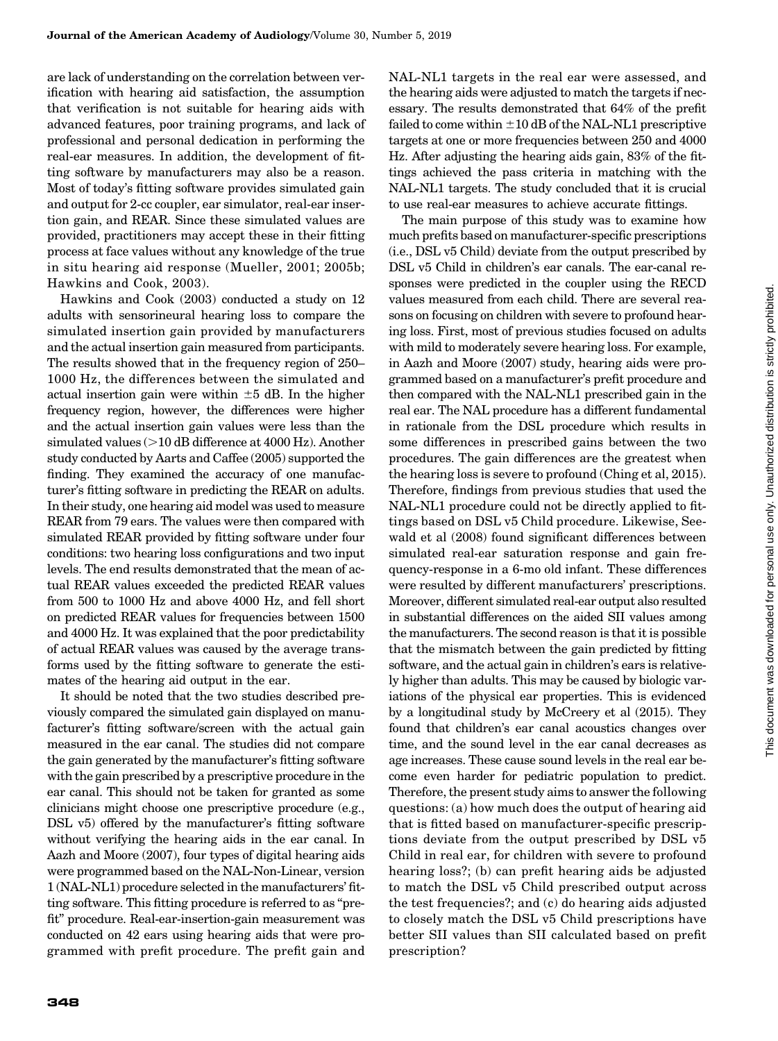are lack of understanding on the correlation between verification with hearing aid satisfaction, the assumption that verification is not suitable for hearing aids with advanced features, poor training programs, and lack of professional and personal dedication in performing the real-ear measures. In addition, the development of fitting software by manufacturers may also be a reason. Most of today's fitting software provides simulated gain and output for 2-cc coupler, ear simulator, real-ear insertion gain, and REAR. Since these simulated values are provided, practitioners may accept these in their fitting process at face values without any knowledge of the true in situ hearing aid response (Mueller, 2001; 2005b; Hawkins and Cook, 2003).

Hawkins and Cook (2003) conducted a study on 12 adults with sensorineural hearing loss to compare the simulated insertion gain provided by manufacturers and the actual insertion gain measured from participants. The results showed that in the frequency region of 250– 1000 Hz, the differences between the simulated and actual insertion gain were within  $\pm 5$  dB. In the higher frequency region, however, the differences were higher and the actual insertion gain values were less than the simulated values  $(>10$  dB difference at 4000 Hz). Another study conducted by Aarts and Caffee (2005) supported the finding. They examined the accuracy of one manufacturer's fitting software in predicting the REAR on adults. In their study, one hearing aid model was used to measure REAR from 79 ears. The values were then compared with simulated REAR provided by fitting software under four conditions: two hearing loss configurations and two input levels. The end results demonstrated that the mean of actual REAR values exceeded the predicted REAR values from 500 to 1000 Hz and above 4000 Hz, and fell short on predicted REAR values for frequencies between 1500 and 4000 Hz. It was explained that the poor predictability of actual REAR values was caused by the average transforms used by the fitting software to generate the estimates of the hearing aid output in the ear.

It should be noted that the two studies described previously compared the simulated gain displayed on manufacturer's fitting software/screen with the actual gain measured in the ear canal. The studies did not compare the gain generated by the manufacturer's fitting software with the gain prescribed by a prescriptive procedure in the ear canal. This should not be taken for granted as some clinicians might choose one prescriptive procedure (e.g., DSL v5) offered by the manufacturer's fitting software without verifying the hearing aids in the ear canal. In Aazh and Moore (2007), four types of digital hearing aids were programmed based on the NAL-Non-Linear, version 1 (NAL-NL1) procedure selected in the manufacturers' fitting software. This fitting procedure is referred to as ''prefit'' procedure. Real-ear-insertion-gain measurement was conducted on 42 ears using hearing aids that were programmed with prefit procedure. The prefit gain and NAL-NL1 targets in the real ear were assessed, and the hearing aids were adjusted to match the targets if necessary. The results demonstrated that 64% of the prefit failed to come within  $\pm 10$  dB of the NAL-NL1 prescriptive targets at one or more frequencies between 250 and 4000 Hz. After adjusting the hearing aids gain, 83% of the fittings achieved the pass criteria in matching with the NAL-NL1 targets. The study concluded that it is crucial to use real-ear measures to achieve accurate fittings.

The main purpose of this study was to examine how much prefits based on manufacturer-specific prescriptions (i.e., DSL v5 Child) deviate from the output prescribed by DSL v5 Child in children's ear canals. The ear-canal responses were predicted in the coupler using the RECD values measured from each child. There are several reasons on focusing on children with severe to profound hearing loss. First, most of previous studies focused on adults with mild to moderately severe hearing loss. For example, in Aazh and Moore (2007) study, hearing aids were programmed based on a manufacturer's prefit procedure and then compared with the NAL-NL1 prescribed gain in the real ear. The NAL procedure has a different fundamental in rationale from the DSL procedure which results in some differences in prescribed gains between the two procedures. The gain differences are the greatest when the hearing loss is severe to profound (Ching et al, 2015). Therefore, findings from previous studies that used the NAL-NL1 procedure could not be directly applied to fittings based on DSL v5 Child procedure. Likewise, Seewald et al (2008) found significant differences between simulated real-ear saturation response and gain frequency-response in a 6-mo old infant. These differences were resulted by different manufacturers' prescriptions. Moreover, different simulated real-ear output also resulted in substantial differences on the aided SII values among the manufacturers. The second reason is that it is possible that the mismatch between the gain predicted by fitting software, and the actual gain in children's ears is relatively higher than adults. This may be caused by biologic variations of the physical ear properties. This is evidenced by a longitudinal study by McCreery et al (2015). They found that children's ear canal acoustics changes over time, and the sound level in the ear canal decreases as age increases. These cause sound levels in the real ear become even harder for pediatric population to predict. Therefore, the present study aims to answer the following questions: (a) how much does the output of hearing aid that is fitted based on manufacturer-specific prescriptions deviate from the output prescribed by DSL v5 Child in real ear, for children with severe to profound hearing loss?; (b) can prefit hearing aids be adjusted to match the DSL v5 Child prescribed output across the test frequencies?; and (c) do hearing aids adjusted to closely match the DSL v5 Child prescriptions have better SII values than SII calculated based on prefit prescription?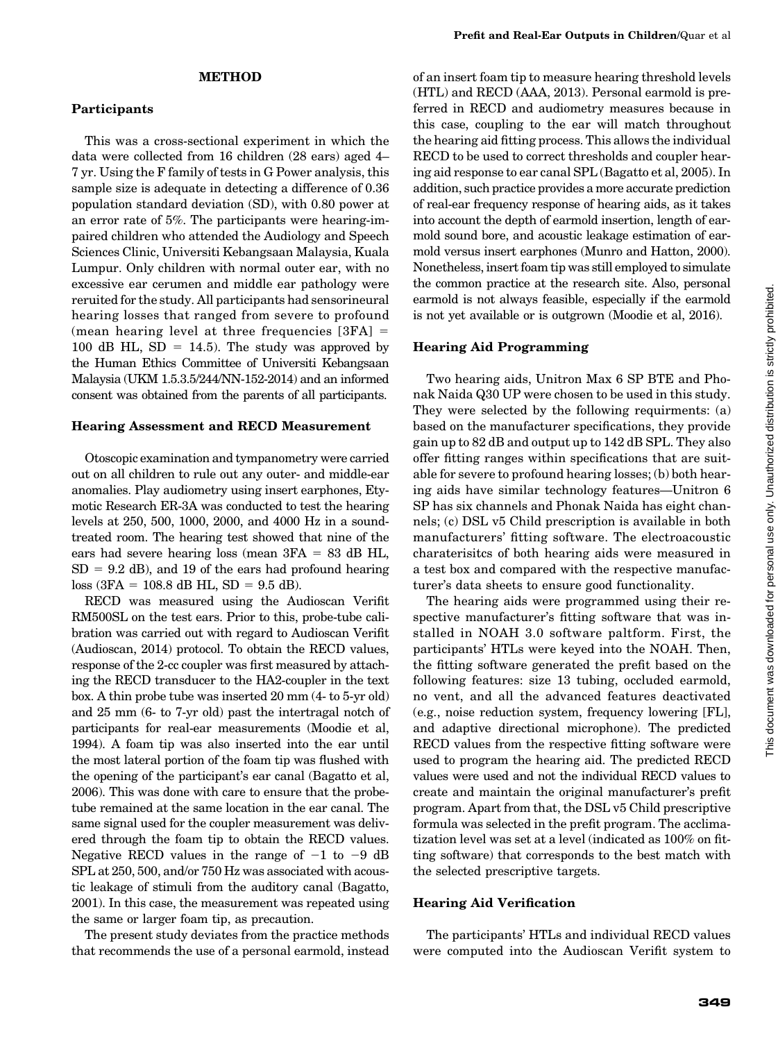## METHOD

#### Participants

This was a cross-sectional experiment in which the data were collected from 16 children (28 ears) aged 4– 7 yr. Using the F family of tests in G Power analysis, this sample size is adequate in detecting a difference of 0.36 population standard deviation (SD), with 0.80 power at an error rate of 5%. The participants were hearing-impaired children who attended the Audiology and Speech Sciences Clinic, Universiti Kebangsaan Malaysia, Kuala Lumpur. Only children with normal outer ear, with no excessive ear cerumen and middle ear pathology were reruited for the study. All participants had sensorineural hearing losses that ranged from severe to profound (mean hearing level at three frequencies  $[3FA] =$ 100 dB HL,  $SD = 14.5$ ). The study was approved by the Human Ethics Committee of Universiti Kebangsaan Malaysia (UKM 1.5.3.5/244/NN-152-2014) and an informed consent was obtained from the parents of all participants.

#### Hearing Assessment and RECD Measurement

Otoscopic examination and tympanometry were carried out on all children to rule out any outer- and middle-ear anomalies. Play audiometry using insert earphones, Etymotic Research ER-3A was conducted to test the hearing levels at 250, 500, 1000, 2000, and 4000 Hz in a soundtreated room. The hearing test showed that nine of the ears had severe hearing loss (mean  $3FA = 83$  dB HL,  $SD = 9.2$  dB), and 19 of the ears had profound hearing  $loss (3FA = 108.8 dB HL, SD = 9.5 dB).$ 

RECD was measured using the Audioscan Verifit RM500SL on the test ears. Prior to this, probe-tube calibration was carried out with regard to Audioscan Verifit (Audioscan, 2014) protocol. To obtain the RECD values, response of the 2-cc coupler was first measured by attaching the RECD transducer to the HA2-coupler in the text box. A thin probe tube was inserted 20 mm (4- to 5-yr old) and 25 mm (6- to 7-yr old) past the intertragal notch of participants for real-ear measurements (Moodie et al, 1994). A foam tip was also inserted into the ear until the most lateral portion of the foam tip was flushed with the opening of the participant's ear canal (Bagatto et al, 2006). This was done with care to ensure that the probetube remained at the same location in the ear canal. The same signal used for the coupler measurement was delivered through the foam tip to obtain the RECD values. Negative RECD values in the range of  $-1$  to  $-9$  dB SPL at 250, 500, and/or 750 Hz was associated with acoustic leakage of stimuli from the auditory canal (Bagatto, 2001). In this case, the measurement was repeated using the same or larger foam tip, as precaution.

The present study deviates from the practice methods that recommends the use of a personal earmold, instead

of an insert foam tip to measure hearing threshold levels (HTL) and RECD (AAA, 2013). Personal earmold is preferred in RECD and audiometry measures because in this case, coupling to the ear will match throughout the hearing aid fitting process. This allows the individual RECD to be used to correct thresholds and coupler hearing aid response to ear canal SPL (Bagatto et al, 2005). In addition, such practice provides a more accurate prediction of real-ear frequency response of hearing aids, as it takes into account the depth of earmold insertion, length of earmold sound bore, and acoustic leakage estimation of earmold versus insert earphones (Munro and Hatton, 2000). Nonetheless, insert foam tip was still employed to simulate the common practice at the research site. Also, personal earmold is not always feasible, especially if the earmold is not yet available or is outgrown (Moodie et al, 2016).

## Hearing Aid Programming

Two hearing aids, Unitron Max 6 SP BTE and Phonak Naida Q30 UP were chosen to be used in this study. They were selected by the following requirments: (a) based on the manufacturer specifications, they provide gain up to 82 dB and output up to 142 dB SPL. They also offer fitting ranges within specifications that are suitable for severe to profound hearing losses; (b) both hearing aids have similar technology features—Unitron 6 SP has six channels and Phonak Naida has eight channels; (c) DSL v5 Child prescription is available in both manufacturers' fitting software. The electroacoustic charaterisitcs of both hearing aids were measured in a test box and compared with the respective manufacturer's data sheets to ensure good functionality.

The hearing aids were programmed using their respective manufacturer's fitting software that was installed in NOAH 3.0 software paltform. First, the participants' HTLs were keyed into the NOAH. Then, the fitting software generated the prefit based on the following features: size 13 tubing, occluded earmold, no vent, and all the advanced features deactivated (e.g., noise reduction system, frequency lowering [FL], and adaptive directional microphone). The predicted RECD values from the respective fitting software were used to program the hearing aid. The predicted RECD values were used and not the individual RECD values to create and maintain the original manufacturer's prefit program. Apart from that, the DSL v5 Child prescriptive formula was selected in the prefit program. The acclimatization level was set at a level (indicated as 100% on fitting software) that corresponds to the best match with the selected prescriptive targets.

## Hearing Aid Verification

The participants' HTLs and individual RECD values were computed into the Audioscan Verifit system to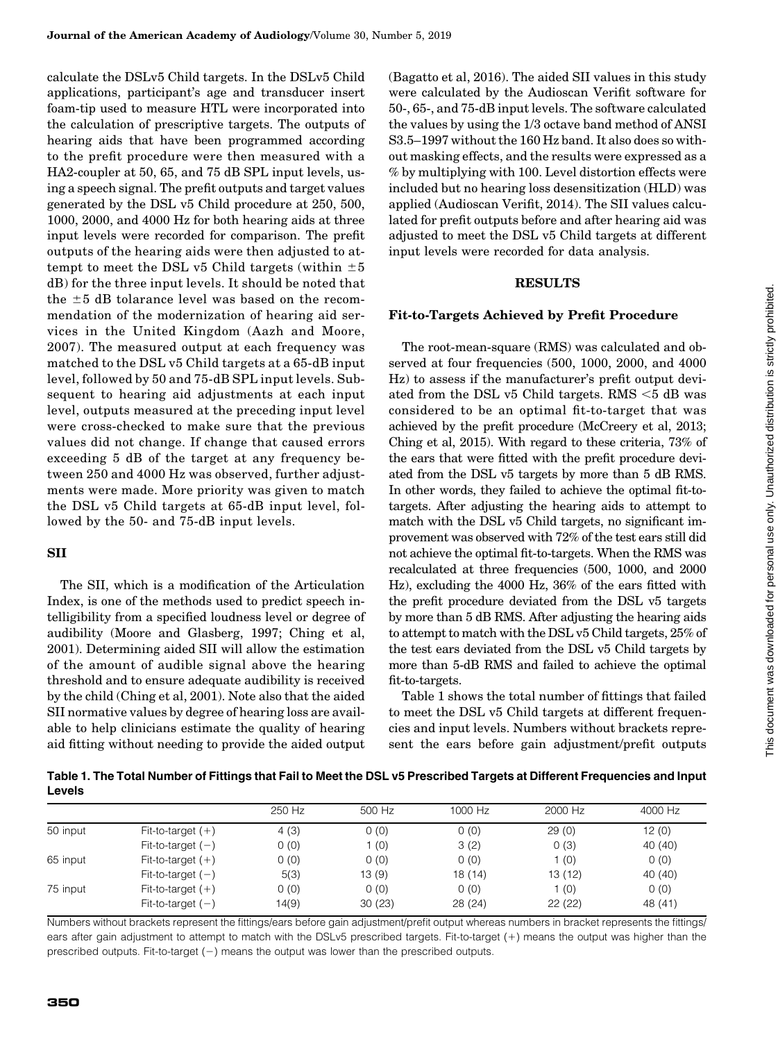calculate the DSLv5 Child targets. In the DSLv5 Child applications, participant's age and transducer insert foam-tip used to measure HTL were incorporated into the calculation of prescriptive targets. The outputs of hearing aids that have been programmed according to the prefit procedure were then measured with a HA2-coupler at 50, 65, and 75 dB SPL input levels, using a speech signal. The prefit outputs and target values generated by the DSL v5 Child procedure at 250, 500, 1000, 2000, and 4000 Hz for both hearing aids at three input levels were recorded for comparison. The prefit outputs of the hearing aids were then adjusted to attempt to meet the DSL v5 Child targets (within  $\pm 5$ dB) for the three input levels. It should be noted that the  $\pm 5$  dB tolarance level was based on the recommendation of the modernization of hearing aid services in the United Kingdom (Aazh and Moore, 2007). The measured output at each frequency was matched to the DSL v5 Child targets at a 65-dB input level, followed by 50 and 75-dB SPL input levels. Subsequent to hearing aid adjustments at each input level, outputs measured at the preceding input level were cross-checked to make sure that the previous values did not change. If change that caused errors exceeding 5 dB of the target at any frequency between 250 and 4000 Hz was observed, further adjustments were made. More priority was given to match the DSL v5 Child targets at 65-dB input level, followed by the 50- and 75-dB input levels.

## SII

The SII, which is a modification of the Articulation Index, is one of the methods used to predict speech intelligibility from a specified loudness level or degree of audibility (Moore and Glasberg, 1997; Ching et al, 2001). Determining aided SII will allow the estimation of the amount of audible signal above the hearing threshold and to ensure adequate audibility is received by the child (Ching et al, 2001). Note also that the aided SII normative values by degree of hearing loss are available to help clinicians estimate the quality of hearing aid fitting without needing to provide the aided output

(Bagatto et al, 2016). The aided SII values in this study were calculated by the Audioscan Verifit software for 50-, 65-, and 75-dB input levels. The software calculated the values by using the 1/3 octave band method of ANSI S3.5–1997 without the 160 Hz band. It also does so without masking effects, and the results were expressed as a % by multiplying with 100. Level distortion effects were included but no hearing loss desensitization (HLD) was applied (Audioscan Verifit, 2014). The SII values calculated for prefit outputs before and after hearing aid was adjusted to meet the DSL v5 Child targets at different input levels were recorded for data analysis.

## RESULTS

## Fit-to-Targets Achieved by Prefit Procedure

The root-mean-square (RMS) was calculated and observed at four frequencies (500, 1000, 2000, and 4000 Hz) to assess if the manufacturer's prefit output deviated from the DSL v5 Child targets. RMS  $<$  5 dB was considered to be an optimal fit-to-target that was achieved by the prefit procedure (McCreery et al, 2013; Ching et al, 2015). With regard to these criteria, 73% of the ears that were fitted with the prefit procedure deviated from the DSL v5 targets by more than 5 dB RMS. In other words, they failed to achieve the optimal fit-totargets. After adjusting the hearing aids to attempt to match with the DSL v5 Child targets, no significant improvement was observed with 72% of the test ears still did not achieve the optimal fit-to-targets. When the RMS was recalculated at three frequencies (500, 1000, and 2000 Hz), excluding the 4000 Hz, 36% of the ears fitted with the prefit procedure deviated from the DSL v5 targets by more than 5 dB RMS. After adjusting the hearing aids to attempt to match with the DSL v5 Child targets, 25% of the test ears deviated from the DSL v5 Child targets by more than 5-dB RMS and failed to achieve the optimal fit-to-targets.

Table 1 shows the total number of fittings that failed to meet the DSL v5 Child targets at different frequencies and input levels. Numbers without brackets represent the ears before gain adjustment/prefit outputs

Table 1. The Total Number of Fittings that Fail to Meet the DSL v5 Prescribed Targets at Different Frequencies and Input Levels

|          |                     | $250$ Hz | 500 Hz | $1000$ Hz | 2000 Hz | 4000 Hz |
|----------|---------------------|----------|--------|-----------|---------|---------|
| 50 input | Fit-to-target $(+)$ | 4(3)     | 0(0)   | 0(0)      | 29(0)   | 12(0)   |
|          | Fit-to-target $(-)$ | 0(0)     | (0)    | 3(2)      | 0(3)    | 40 (40) |
| 65 input | Fit-to-target $(+)$ | 0(0)     | 0(0)   | 0(0)      | 1(0)    | 0(0)    |
|          | Fit-to-target $(-)$ | 5(3)     | 13(9)  | 18 (14)   | 13(12)  | 40 (40) |
| 75 input | Fit-to-target $(+)$ | 0(0)     | 0(0)   | 0(0)      | 1(0)    | 0(0)    |
|          | Fit-to-target $(-)$ | 14(9)    | 30(23) | 28(24)    | 22(22)  | 48 (41) |

Numbers without brackets represent the fittings/ears before gain adjustment/prefit output whereas numbers in bracket represents the fittings/ ears after gain adjustment to attempt to match with the DSLv5 prescribed targets. Fit-to-target (+) means the output was higher than the prescribed outputs. Fit-to-target (2) means the output was lower than the prescribed outputs.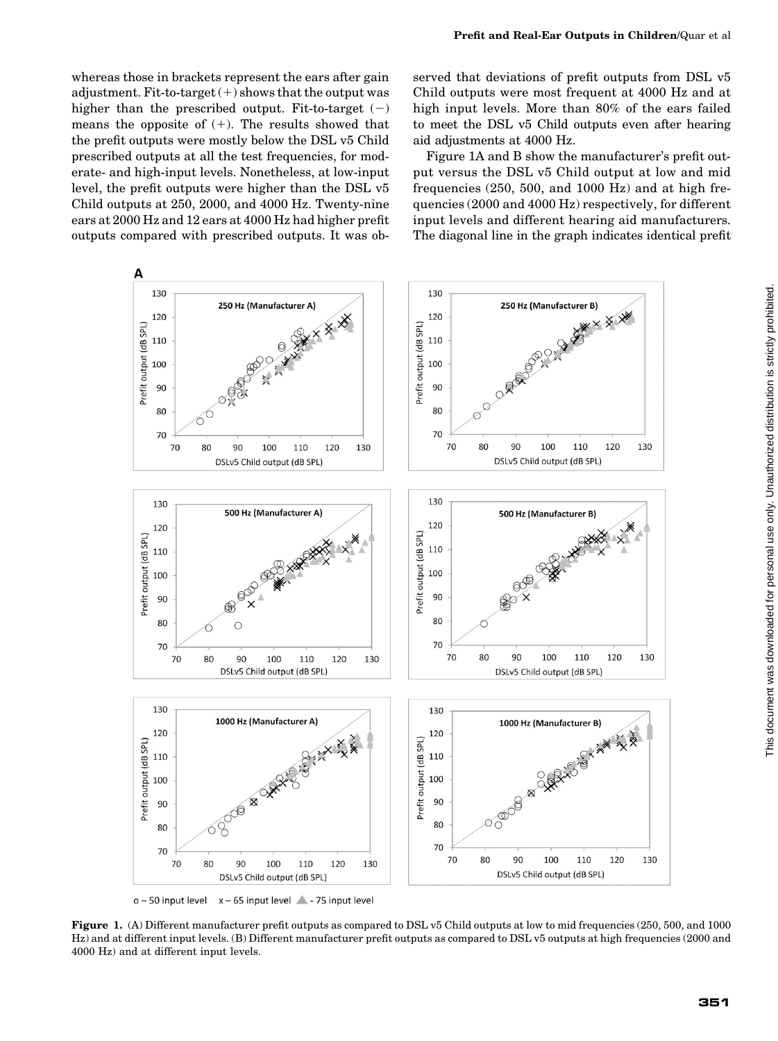whereas those in brackets represent the ears after gain adjustment. Fit-to-target  $(+)$  shows that the output was higher than the prescribed output. Fit-to-target  $(-)$ means the opposite of  $(+)$ . The results showed that the prefit outputs were mostly below the DSL v5 Child prescribed outputs at all the test frequencies, for moderate- and high-input levels. Nonetheless, at low-input level, the prefit outputs were higher than the DSL v5 Child outputs at 250, 2000, and 4000 Hz. Twenty-nine ears at 2000 Hz and 12 ears at 4000 Hz had higher prefit outputs compared with prescribed outputs. It was observed that deviations of prefit outputs from DSL v5 Child outputs were most frequent at 4000 Hz and at high input levels. More than 80% of the ears failed to meet the DSL v5 Child outputs even after hearing aid adjustments at 4000 Hz.

Figure 1A and B show the manufacturer's prefit output versus the DSL v5 Child output at low and mid frequencies (250, 500, and 1000 Hz) and at high frequencies (2000 and 4000 Hz) respectively, for different input levels and different hearing aid manufacturers. The diagonal line in the graph indicates identical prefit



o - 50 input level  $x - 65$  input level  $\triangle$  - 75 input level

Figure 1. (A) Different manufacturer prefit outputs as compared to DSL v5 Child outputs at low to mid frequencies (250, 500, and 1000 Hz) and at different input levels. (B) Different manufacturer prefit outputs as compared to DSL v5 outputs at high frequencies (2000 and 4000 Hz) and at different input levels.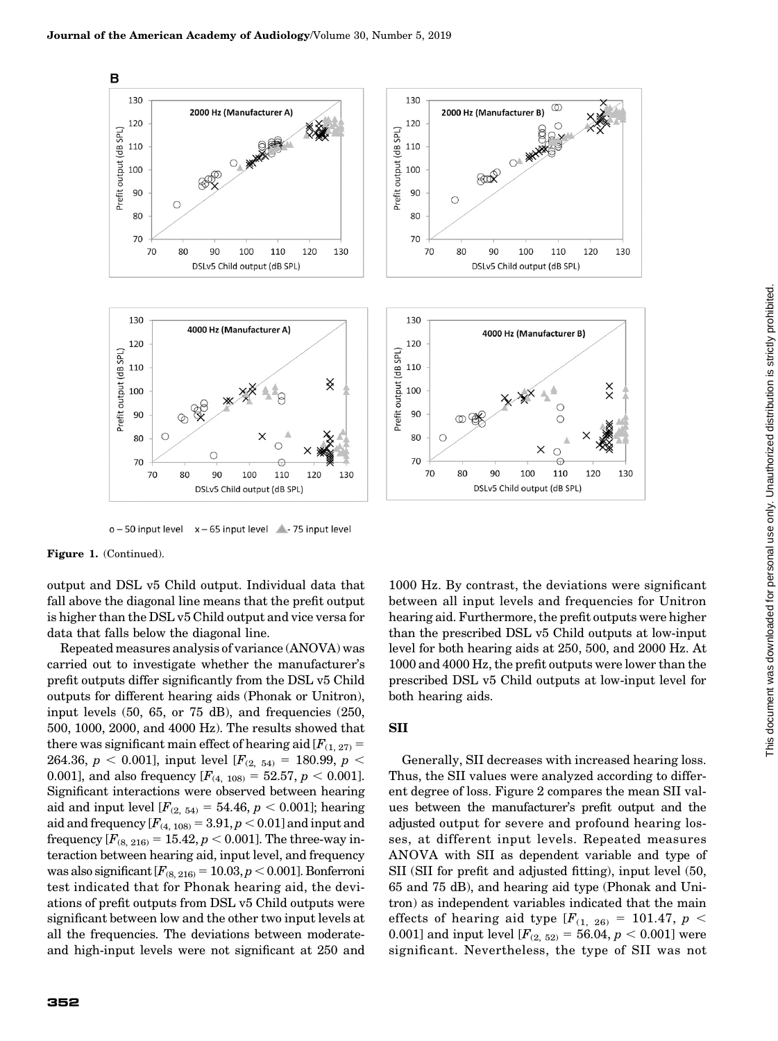

 $o - 50$  input level  $x - 65$  input level  $\triangle$  - 75 input level

#### Figure 1. (Continued).

output and DSL v5 Child output. Individual data that fall above the diagonal line means that the prefit output is higher than the DSL v5 Child output and vice versa for data that falls below the diagonal line.

Repeated measures analysis of variance (ANOVA) was carried out to investigate whether the manufacturer's prefit outputs differ significantly from the DSL v5 Child outputs for different hearing aids (Phonak or Unitron), input levels (50, 65, or 75 dB), and frequencies (250, 500, 1000, 2000, and 4000 Hz). The results showed that there was significant main effect of hearing aid  $[F_{(1, 27)}]$ 264.36,  $p < 0.001$ ], input level  $[F_{(2, 54)} = 180.99, p <$ 0.001], and also frequency  $[F_{(4, 108)} = 52.57, p < 0.001]$ . Significant interactions were observed between hearing aid and input level  $[F_{(2, 54)} = 54.46, p < 0.001]$ ; hearing aid and frequency  $[F_{(4, 108)} = 3.91, p < 0.01]$  and input and frequency  $[F_{(8, 216)} = 15.42, p < 0.001]$ . The three-way interaction between hearing aid, input level, and frequency was also significant  $[F_{(8, 216)} = 10.03, p < 0.001]$ . Bonferroni test indicated that for Phonak hearing aid, the deviations of prefit outputs from DSL v5 Child outputs were significant between low and the other two input levels at all the frequencies. The deviations between moderateand high-input levels were not significant at 250 and 1000 Hz. By contrast, the deviations were significant between all input levels and frequencies for Unitron hearing aid. Furthermore, the prefit outputs were higher than the prescribed DSL v5 Child outputs at low-input level for both hearing aids at 250, 500, and 2000 Hz. At 1000 and 4000 Hz, the prefit outputs were lower than the prescribed DSL v5 Child outputs at low-input level for both hearing aids.

## SII

Generally, SII decreases with increased hearing loss. Thus, the SII values were analyzed according to different degree of loss. Figure 2 compares the mean SII values between the manufacturer's prefit output and the adjusted output for severe and profound hearing losses, at different input levels. Repeated measures ANOVA with SII as dependent variable and type of SII (SII for prefit and adjusted fitting), input level (50, 65 and 75 dB), and hearing aid type (Phonak and Unitron) as independent variables indicated that the main effects of hearing aid type  $[F_{(1, 26)} = 101.47, p <$ 0.001] and input level  $[F_{(2, 52)} = 56.04, p < 0.001]$  were significant. Nevertheless, the type of SII was not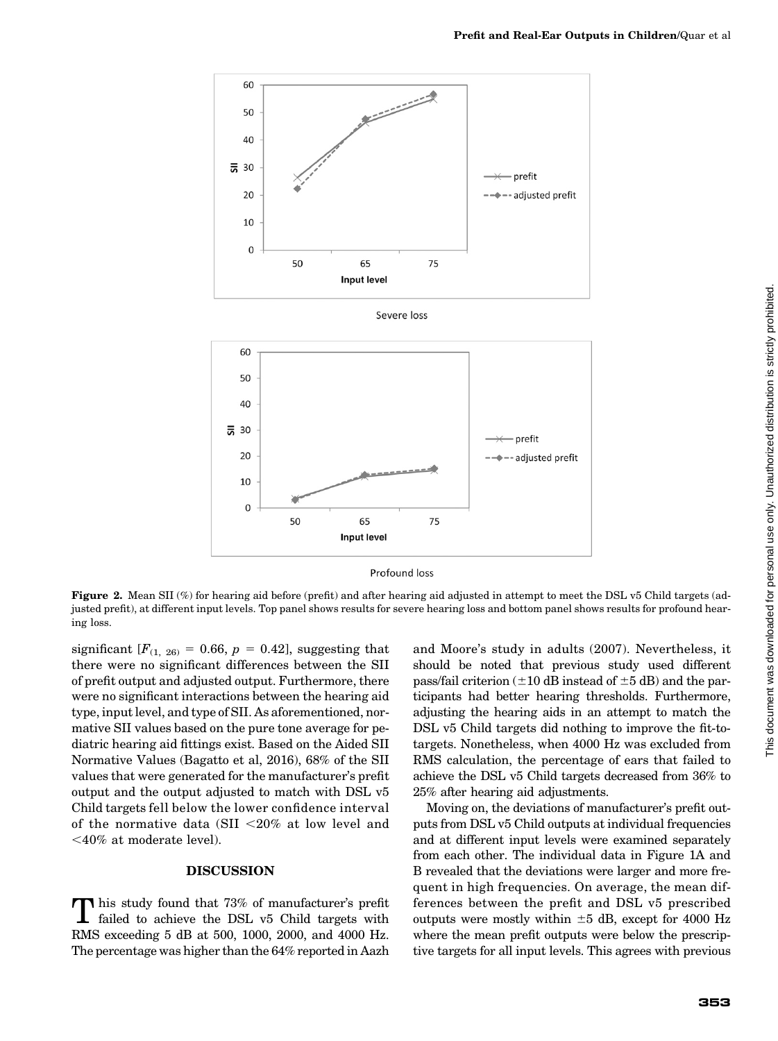

Profound loss

Figure 2. Mean SII (%) for hearing aid before (prefit) and after hearing aid adjusted in attempt to meet the DSL v5 Child targets (adjusted prefit), at different input levels. Top panel shows results for severe hearing loss and bottom panel shows results for profound hearing loss.

significant  $[F_{(1, 26)} = 0.66, p = 0.42]$ , suggesting that there were no significant differences between the SII of prefit output and adjusted output. Furthermore, there were no significant interactions between the hearing aid type, input level, and type of SII. As aforementioned, normative SII values based on the pure tone average for pediatric hearing aid fittings exist. Based on the Aided SII Normative Values (Bagatto et al, 2016), 68% of the SII values that were generated for the manufacturer's prefit output and the output adjusted to match with DSL v5 Child targets fell below the lower confidence interval of the normative data (SII  $<20\%$  at low level and  $<$ 40% at moderate level).

#### DISCUSSION

This study found that 73% of manufacturer's prefit failed to achieve the DSL v5 Child targets with RMS exceeding 5 dB at 500, 1000, 2000, and 4000 Hz. The percentage was higher than the 64% reported in Aazh and Moore's study in adults (2007). Nevertheless, it should be noted that previous study used different pass/fail criterion  $(\pm 10$  dB instead of  $\pm 5$  dB) and the participants had better hearing thresholds. Furthermore, adjusting the hearing aids in an attempt to match the DSL v5 Child targets did nothing to improve the fit-totargets. Nonetheless, when 4000 Hz was excluded from RMS calculation, the percentage of ears that failed to achieve the DSL v5 Child targets decreased from 36% to 25% after hearing aid adjustments.

Moving on, the deviations of manufacturer's prefit outputs from DSL v5 Child outputs at individual frequencies and at different input levels were examined separately from each other. The individual data in Figure 1A and B revealed that the deviations were larger and more frequent in high frequencies. On average, the mean differences between the prefit and DSL v5 prescribed outputs were mostly within  $\pm 5$  dB, except for 4000 Hz where the mean prefit outputs were below the prescriptive targets for all input levels. This agrees with previous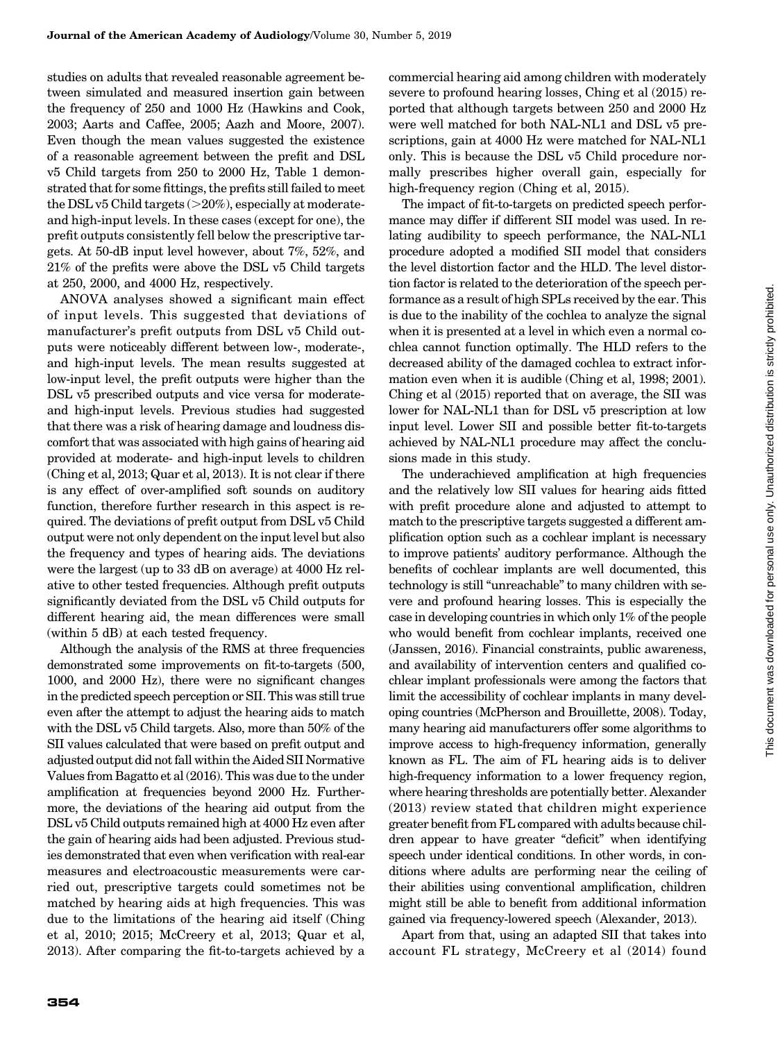studies on adults that revealed reasonable agreement between simulated and measured insertion gain between the frequency of 250 and 1000 Hz (Hawkins and Cook, 2003; Aarts and Caffee, 2005; Aazh and Moore, 2007). Even though the mean values suggested the existence of a reasonable agreement between the prefit and DSL v5 Child targets from 250 to 2000 Hz, Table 1 demonstrated that for some fittings, the prefits still failed to meet the DSL v5 Child targets  $(>20\%)$ , especially at moderateand high-input levels. In these cases (except for one), the prefit outputs consistently fell below the prescriptive targets. At 50-dB input level however, about 7%, 52%, and 21% of the prefits were above the DSL v5 Child targets at 250, 2000, and 4000 Hz, respectively.

ANOVA analyses showed a significant main effect of input levels. This suggested that deviations of manufacturer's prefit outputs from DSL v5 Child outputs were noticeably different between low-, moderate-, and high-input levels. The mean results suggested at low-input level, the prefit outputs were higher than the DSL v5 prescribed outputs and vice versa for moderateand high-input levels. Previous studies had suggested that there was a risk of hearing damage and loudness discomfort that was associated with high gains of hearing aid provided at moderate- and high-input levels to children (Ching et al, 2013; Quar et al, 2013). It is not clear if there is any effect of over-amplified soft sounds on auditory function, therefore further research in this aspect is required. The deviations of prefit output from DSL v5 Child output were not only dependent on the input level but also the frequency and types of hearing aids. The deviations were the largest (up to 33 dB on average) at 4000 Hz relative to other tested frequencies. Although prefit outputs significantly deviated from the DSL v5 Child outputs for different hearing aid, the mean differences were small (within 5 dB) at each tested frequency.

Although the analysis of the RMS at three frequencies demonstrated some improvements on fit-to-targets (500, 1000, and 2000 Hz), there were no significant changes in the predicted speech perception or SII. This was still true even after the attempt to adjust the hearing aids to match with the DSL v5 Child targets. Also, more than 50% of the SII values calculated that were based on prefit output and adjusted output did not fall within the Aided SII Normative Values from Bagatto et al (2016). This was due to the under amplification at frequencies beyond 2000 Hz. Furthermore, the deviations of the hearing aid output from the DSL v5 Child outputs remained high at 4000 Hz even after the gain of hearing aids had been adjusted. Previous studies demonstrated that even when verification with real-ear measures and electroacoustic measurements were carried out, prescriptive targets could sometimes not be matched by hearing aids at high frequencies. This was due to the limitations of the hearing aid itself (Ching et al, 2010; 2015; McCreery et al, 2013; Quar et al, 2013). After comparing the fit-to-targets achieved by a commercial hearing aid among children with moderately severe to profound hearing losses, Ching et al (2015) reported that although targets between 250 and 2000 Hz were well matched for both NAL-NL1 and DSL v5 prescriptions, gain at 4000 Hz were matched for NAL-NL1 only. This is because the DSL v5 Child procedure normally prescribes higher overall gain, especially for high-frequency region (Ching et al, 2015).

The impact of fit-to-targets on predicted speech performance may differ if different SII model was used. In relating audibility to speech performance, the NAL-NL1 procedure adopted a modified SII model that considers the level distortion factor and the HLD. The level distortion factor is related to the deterioration of the speech performance as a result of high SPLs received by the ear. This is due to the inability of the cochlea to analyze the signal when it is presented at a level in which even a normal cochlea cannot function optimally. The HLD refers to the decreased ability of the damaged cochlea to extract information even when it is audible (Ching et al, 1998; 2001). Ching et al (2015) reported that on average, the SII was lower for NAL-NL1 than for DSL v5 prescription at low input level. Lower SII and possible better fit-to-targets achieved by NAL-NL1 procedure may affect the conclusions made in this study.

The underachieved amplification at high frequencies and the relatively low SII values for hearing aids fitted with prefit procedure alone and adjusted to attempt to match to the prescriptive targets suggested a different amplification option such as a cochlear implant is necessary to improve patients' auditory performance. Although the benefits of cochlear implants are well documented, this technology is still ''unreachable'' to many children with severe and profound hearing losses. This is especially the case in developing countries in which only 1% of the people who would benefit from cochlear implants, received one (Janssen, 2016). Financial constraints, public awareness, and availability of intervention centers and qualified cochlear implant professionals were among the factors that limit the accessibility of cochlear implants in many developing countries (McPherson and Brouillette, 2008). Today, many hearing aid manufacturers offer some algorithms to improve access to high-frequency information, generally known as FL. The aim of FL hearing aids is to deliver high-frequency information to a lower frequency region, where hearing thresholds are potentially better. Alexander (2013) review stated that children might experience greater benefit from FL compared with adults because children appear to have greater "deficit" when identifying speech under identical conditions. In other words, in conditions where adults are performing near the ceiling of their abilities using conventional amplification, children might still be able to benefit from additional information gained via frequency-lowered speech (Alexander, 2013).

Apart from that, using an adapted SII that takes into account FL strategy, McCreery et al (2014) found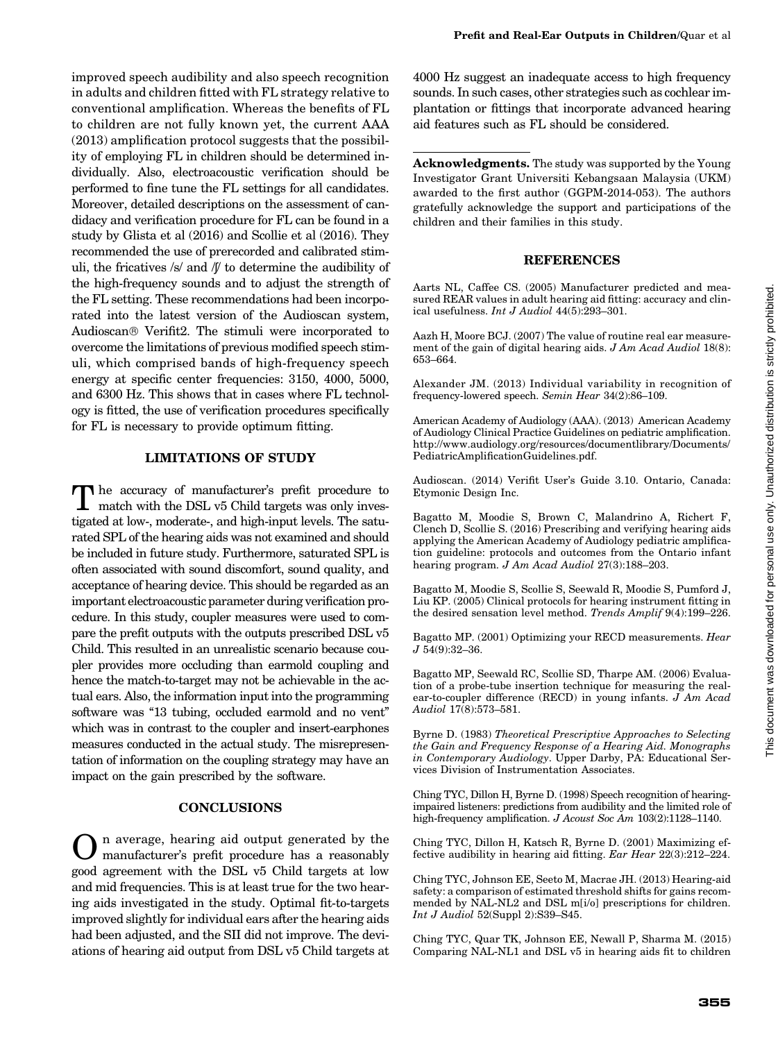improved speech audibility and also speech recognition in adults and children fitted with FL strategy relative to conventional amplification. Whereas the benefits of FL to children are not fully known yet, the current AAA (2013) amplification protocol suggests that the possibility of employing FL in children should be determined individually. Also, electroacoustic verification should be performed to fine tune the FL settings for all candidates. Moreover, detailed descriptions on the assessment of candidacy and verification procedure for FL can be found in a study by Glista et al (2016) and Scollie et al (2016). They recommended the use of prerecorded and calibrated stimuli, the fricatives  $/s/$  and  $/f/$  to determine the audibility of the high-frequency sounds and to adjust the strength of the FL setting. These recommendations had been incorporated into the latest version of the Audioscan system, Audioscan<sup>®</sup> Verifit2. The stimuli were incorporated to overcome the limitations of previous modified speech stimuli, which comprised bands of high-frequency speech energy at specific center frequencies: 3150, 4000, 5000, and 6300 Hz. This shows that in cases where FL technology is fitted, the use of verification procedures specifically for FL is necessary to provide optimum fitting.

## LIMITATIONS OF STUDY

The accuracy of manufacturer's prefit procedure to match with the DSL v5 Child targets was only investigated at low-, moderate-, and high-input levels. The saturated SPL of the hearing aids was not examined and should be included in future study. Furthermore, saturated SPL is often associated with sound discomfort, sound quality, and acceptance of hearing device. This should be regarded as an important electroacoustic parameter during verification procedure. In this study, coupler measures were used to compare the prefit outputs with the outputs prescribed DSL v5 Child. This resulted in an unrealistic scenario because coupler provides more occluding than earmold coupling and hence the match-to-target may not be achievable in the actual ears. Also, the information input into the programming software was "13 tubing, occluded earmold and no vent" which was in contrast to the coupler and insert-earphones measures conducted in the actual study. The misrepresentation of information on the coupling strategy may have an impact on the gain prescribed by the software.

## CONCLUSIONS

n average, hearing aid output generated by the manufacturer's prefit procedure has a reasonably good agreement with the DSL v5 Child targets at low and mid frequencies. This is at least true for the two hearing aids investigated in the study. Optimal fit-to-targets improved slightly for individual ears after the hearing aids had been adjusted, and the SII did not improve. The deviations of hearing aid output from DSL v5 Child targets at 4000 Hz suggest an inadequate access to high frequency sounds. In such cases, other strategies such as cochlear implantation or fittings that incorporate advanced hearing aid features such as FL should be considered.

Acknowledgments. The study was supported by the Young Investigator Grant Universiti Kebangsaan Malaysia (UKM) awarded to the first author (GGPM-2014-053). The authors gratefully acknowledge the support and participations of the children and their families in this study.

#### REFERENCES

Aarts NL, Caffee CS. (2005) Manufacturer predicted and measured REAR values in adult hearing aid fitting: accuracy and clinical usefulness. Int J Audiol 44(5):293–301.

Aazh H, Moore BCJ. (2007) The value of routine real ear measurement of the gain of digital hearing aids. J Am Acad Audiol 18(8): 653–664.

Alexander JM. (2013) Individual variability in recognition of frequency-lowered speech. Semin Hear 34(2):86–109.

American Academy of Audiology (AAA). (2013) American Academy of Audiology Clinical Practice Guidelines on pediatric amplification. [http://www.audiology.org/resources/documentlibrary/Documents/](http://www.audiology.org/resources/documentlibrary/Documents/PediatricAmplificationGuidelines.pdf) [PediatricAmplificationGuidelines.pdf](http://www.audiology.org/resources/documentlibrary/Documents/PediatricAmplificationGuidelines.pdf).

Audioscan. (2014) Verifit User's Guide 3.10. Ontario, Canada: Etymonic Design Inc.

Bagatto M, Moodie S, Brown C, Malandrino A, Richert F, Clench D, Scollie S. (2016) Prescribing and verifying hearing aids applying the American Academy of Audiology pediatric amplification guideline: protocols and outcomes from the Ontario infant hearing program. J Am Acad Audiol 27(3):188–203.

Bagatto M, Moodie S, Scollie S, Seewald R, Moodie S, Pumford J, Liu KP. (2005) Clinical protocols for hearing instrument fitting in the desired sensation level method. Trends Amplif 9(4):199–226.

Bagatto MP. (2001) Optimizing your RECD measurements. Hear J 54(9):32–36.

Bagatto MP, Seewald RC, Scollie SD, Tharpe AM. (2006) Evaluation of a probe-tube insertion technique for measuring the realear-to-coupler difference (RECD) in young infants.  $J$  Am Acad Audiol 17(8):573–581.

Byrne D. (1983) Theoretical Prescriptive Approaches to Selecting the Gain and Frequency Response of a Hearing Aid. Monographs in Contemporary Audiology. Upper Darby, PA: Educational Services Division of Instrumentation Associates.

Ching TYC, Dillon H, Byrne D. (1998) Speech recognition of hearingimpaired listeners: predictions from audibility and the limited role of high-frequency amplification. J Acoust Soc Am 103(2):1128-1140.

Ching TYC, Dillon H, Katsch R, Byrne D. (2001) Maximizing effective audibility in hearing aid fitting. Ear Hear 22(3):212–224.

Ching TYC, Johnson EE, Seeto M, Macrae JH. (2013) Hearing-aid safety: a comparison of estimated threshold shifts for gains recommended by NAL-NL2 and DSL m[i/o] prescriptions for children. Int J Audiol 52(Suppl 2):S39–S45.

Ching TYC, Quar TK, Johnson EE, Newall P, Sharma M. (2015) Comparing NAL-NL1 and DSL v5 in hearing aids fit to children